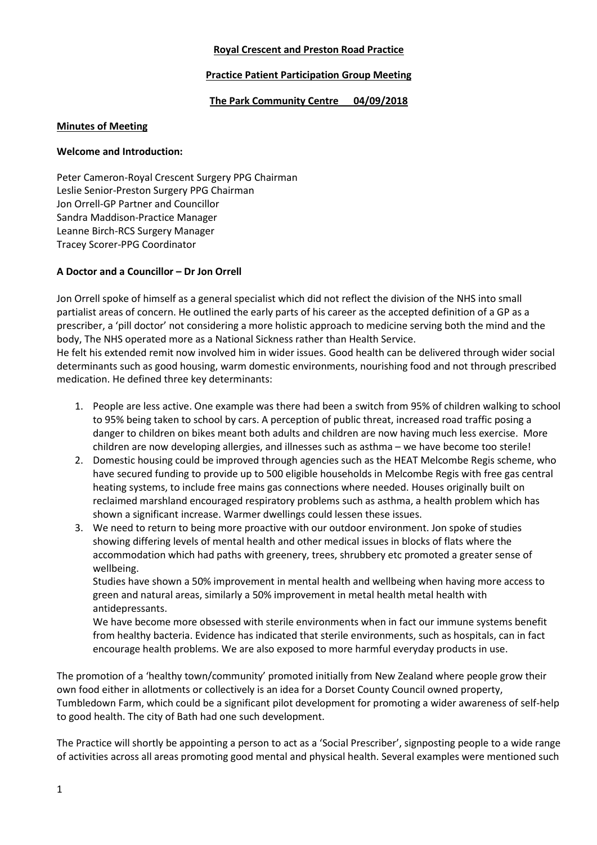### **Royal Crescent and Preston Road Practice**

### **Practice Patient Participation Group Meeting**

### **The Park Community Centre 04/09/2018**

### **Minutes of Meeting**

#### **Welcome and Introduction:**

Peter Cameron-Royal Crescent Surgery PPG Chairman Leslie Senior-Preston Surgery PPG Chairman Jon Orrell-GP Partner and Councillor Sandra Maddison-Practice Manager Leanne Birch-RCS Surgery Manager Tracey Scorer-PPG Coordinator

## **A Doctor and a Councillor – Dr Jon Orrell**

Jon Orrell spoke of himself as a general specialist which did not reflect the division of the NHS into small partialist areas of concern. He outlined the early parts of his career as the accepted definition of a GP as a prescriber, a 'pill doctor' not considering a more holistic approach to medicine serving both the mind and the body, The NHS operated more as a National Sickness rather than Health Service.

He felt his extended remit now involved him in wider issues. Good health can be delivered through wider social determinants such as good housing, warm domestic environments, nourishing food and not through prescribed medication. He defined three key determinants:

- 1. People are less active. One example was there had been a switch from 95% of children walking to school to 95% being taken to school by cars. A perception of public threat, increased road traffic posing a danger to children on bikes meant both adults and children are now having much less exercise. More children are now developing allergies, and illnesses such as asthma – we have become too sterile!
- 2. Domestic housing could be improved through agencies such as the HEAT Melcombe Regis scheme, who have secured funding to provide up to 500 eligible households in Melcombe Regis with free gas central heating systems, to include free mains gas connections where needed. Houses originally built on reclaimed marshland encouraged respiratory problems such as asthma, a health problem which has shown a significant increase. Warmer dwellings could lessen these issues.
- 3. We need to return to being more proactive with our outdoor environment. Jon spoke of studies showing differing levels of mental health and other medical issues in blocks of flats where the accommodation which had paths with greenery, trees, shrubbery etc promoted a greater sense of wellbeing.

Studies have shown a 50% improvement in mental health and wellbeing when having more access to green and natural areas, similarly a 50% improvement in metal health metal health with antidepressants.

We have become more obsessed with sterile environments when in fact our immune systems benefit from healthy bacteria. Evidence has indicated that sterile environments, such as hospitals, can in fact encourage health problems. We are also exposed to more harmful everyday products in use.

The promotion of a 'healthy town/community' promoted initially from New Zealand where people grow their own food either in allotments or collectively is an idea for a Dorset County Council owned property, Tumbledown Farm, which could be a significant pilot development for promoting a wider awareness of self-help to good health. The city of Bath had one such development.

The Practice will shortly be appointing a person to act as a 'Social Prescriber', signposting people to a wide range of activities across all areas promoting good mental and physical health. Several examples were mentioned such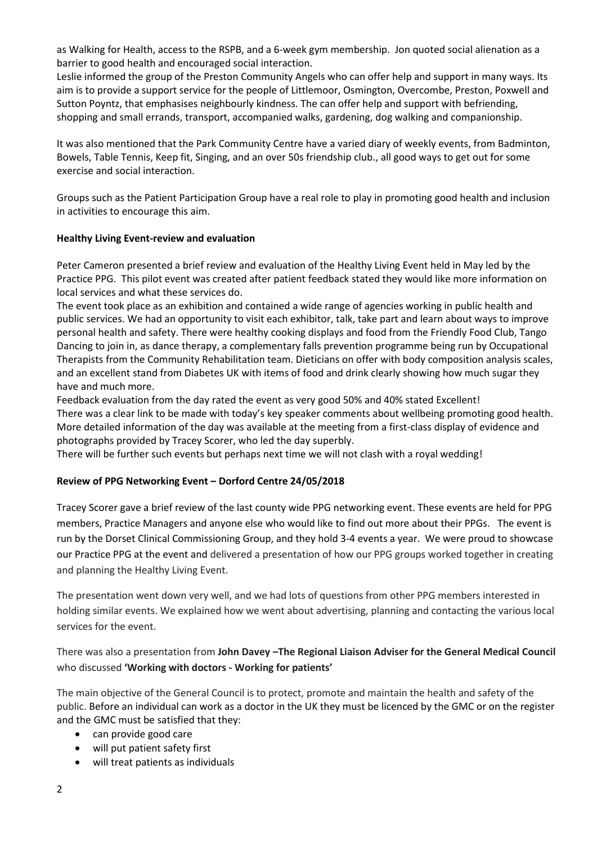as Walking for Health, access to the RSPB, and a 6-week gym membership. Jon quoted social alienation as a barrier to good health and encouraged social interaction.

Leslie informed the group of the Preston Community Angels who can offer help and support in many ways. Its aim is to provide a support service for the people of Littlemoor, Osmington, Overcombe, Preston, Poxwell and Sutton Poyntz, that emphasises neighbourly kindness. The can offer help and support with befriending, shopping and small errands, transport, accompanied walks, gardening, dog walking and companionship.

It was also mentioned that the Park Community Centre have a varied diary of weekly events, from Badminton, Bowels, Table Tennis, Keep fit, Singing, and an over 50s friendship club., all good ways to get out for some exercise and social interaction.

Groups such as the Patient Participation Group have a real role to play in promoting good health and inclusion in activities to encourage this aim.

### **Healthy Living Event-review and evaluation**

Peter Cameron presented a brief review and evaluation of the Healthy Living Event held in May led by the Practice PPG. This pilot event was created after patient feedback stated they would like more information on local services and what these services do.

The event took place as an exhibition and contained a wide range of agencies working in public health and public services. We had an opportunity to visit each exhibitor, talk, take part and learn about ways to improve personal health and safety. There were healthy cooking displays and food from the Friendly Food Club, Tango Dancing to join in, as dance therapy, a complementary falls prevention programme being run by Occupational Therapists from the Community Rehabilitation team. Dieticians on offer with body composition analysis scales, and an excellent stand from Diabetes UK with items of food and drink clearly showing how much sugar they have and much more.

Feedback evaluation from the day rated the event as very good 50% and 40% stated Excellent! There was a clear link to be made with today's key speaker comments about wellbeing promoting good health. More detailed information of the day was available at the meeting from a first-class display of evidence and photographs provided by Tracey Scorer, who led the day superbly.

There will be further such events but perhaps next time we will not clash with a royal wedding!

## **Review of PPG Networking Event – Dorford Centre 24/05/2018**

Tracey Scorer gave a brief review of the last county wide PPG networking event. These events are held for PPG members, Practice Managers and anyone else who would like to find out more about their PPGs. The event is run by the Dorset Clinical Commissioning Group, and they hold 3-4 events a year. We were proud to showcase our Practice PPG at the event and delivered a presentation of how our PPG groups worked together in creating and planning the Healthy Living Event.

The presentation went down very well, and we had lots of questions from other PPG members interested in holding similar events. We explained how we went about advertising, planning and contacting the various local services for the event.

There was also a presentation from **John Davey –The Regional Liaison Adviser for the General Medical Council** who discussed **'Working with doctors - Working for patients'** 

The main objective of the General Council is to protect, promote and maintain the health and safety of the public. Before an individual can work as a doctor in the UK they must be licenced by the GMC or on the register and the GMC must be satisfied that they:

- can provide good care
- will put patient safety first
- will treat patients as individuals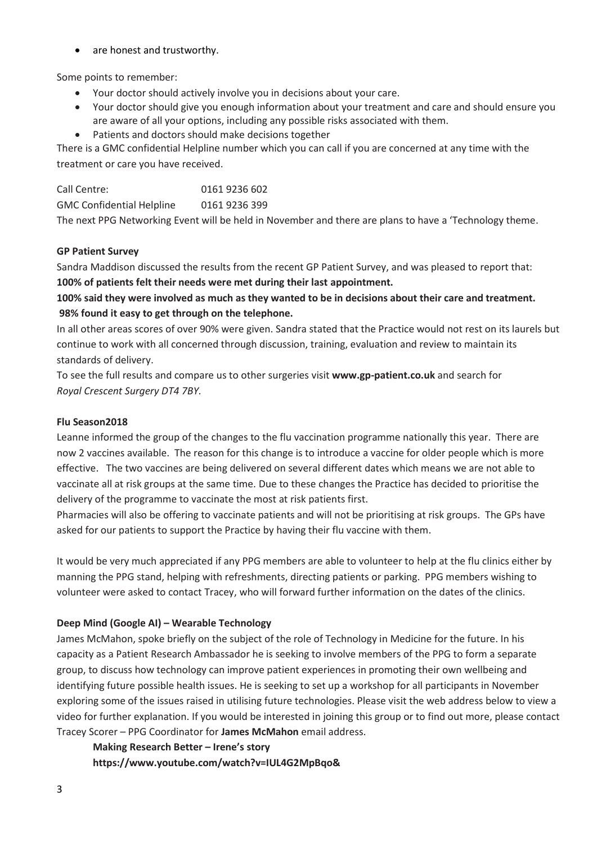• are honest and trustworthy.

Some points to remember:

- Your doctor should actively involve you in decisions about your care.
- Your doctor should give you enough information about your treatment and care and should ensure you are aware of all your options, including any possible risks associated with them.
- Patients and doctors should make decisions together

There is a GMC confidential Helpline number which you can call if you are concerned at any time with the treatment or care you have received.

| Call Centre:                     | 0161 9236 602 |
|----------------------------------|---------------|
| <b>GMC Confidential Helpline</b> | 0161 9236 399 |
|                                  |               |

The next PPG Networking Event will be held in November and there are plans to have a 'Technology theme.

## **GP Patient Survey**

Sandra Maddison discussed the results from the recent GP Patient Survey, and was pleased to report that: **100% of patients felt their needs were met during their last appointment.**

**100% said they were involved as much as they wanted to be in decisions about their care and treatment. 98% found it easy to get through on the telephone.**

In all other areas scores of over 90% were given. Sandra stated that the Practice would not rest on its laurels but continue to work with all concerned through discussion, training, evaluation and review to maintain its standards of delivery.

To see the full results and compare us to other surgeries visit **www.gp-patient.co.uk** and search for *Royal Crescent Surgery DT4 7BY.*

## **Flu Season2018**

Leanne informed the group of the changes to the flu vaccination programme nationally this year. There are now 2 vaccines available. The reason for this change is to introduce a vaccine for older people which is more effective. The two vaccines are being delivered on several different dates which means we are not able to vaccinate all at risk groups at the same time. Due to these changes the Practice has decided to prioritise the delivery of the programme to vaccinate the most at risk patients first.

Pharmacies will also be offering to vaccinate patients and will not be prioritising at risk groups. The GPs have asked for our patients to support the Practice by having their flu vaccine with them.

It would be very much appreciated if any PPG members are able to volunteer to help at the flu clinics either by manning the PPG stand, helping with refreshments, directing patients or parking. PPG members wishing to volunteer were asked to contact Tracey, who will forward further information on the dates of the clinics.

# **Deep Mind (Google AI) – Wearable Technology**

James McMahon, spoke briefly on the subject of the role of Technology in Medicine for the future. In his capacity as a Patient Research Ambassador he is seeking to involve members of the PPG to form a separate group, to discuss how technology can improve patient experiences in promoting their own wellbeing and identifying future possible health issues. He is seeking to set up a workshop for all participants in November exploring some of the issues raised in utilising future technologies. Please visit the web address below to view a video for further explanation. If you would be interested in joining this group or to find out more, please contact Tracey Scorer – PPG Coordinator for **James McMahon** email address.

# **Making Research Better – Irene's story**

**https://www.youtube.com/watch?v=IUL4G2MpBqo&**